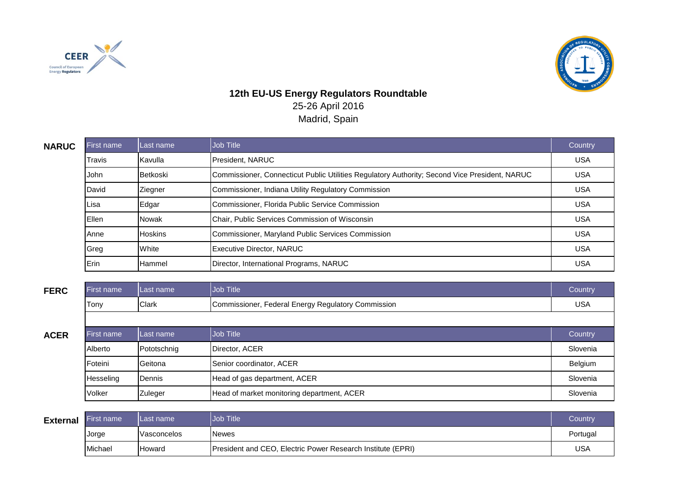



## **12th EU-US Energy Regulators Roundtable** 25-26 April 2016 Madrid, Spain

| <b>NARUC</b> | First name | Last name      | Job Title                                                                                     | Country    |
|--------------|------------|----------------|-----------------------------------------------------------------------------------------------|------------|
|              | Travis     | Kavulla        | President. NARUC                                                                              | <b>USA</b> |
|              | John       | Betkoski       | Commissioner, Connecticut Public Utilities Regulatory Authority; Second Vice President, NARUC | <b>USA</b> |
|              | David      | Ziegner        | Commissioner, Indiana Utility Regulatory Commission                                           | <b>USA</b> |
|              | Lisa       | Edgar          | Commissioner, Florida Public Service Commission                                               | <b>USA</b> |
|              | Ellen      | <b>Nowak</b>   | Chair, Public Services Commission of Wisconsin                                                | <b>USA</b> |
|              | Anne       | <b>Hoskins</b> | Commissioner, Maryland Public Services Commission                                             | <b>USA</b> |
|              | Greg       | White          | Executive Director, NARUC                                                                     | <b>USA</b> |
|              | Erin       | <b>Hammel</b>  | Director, International Programs, NARUC                                                       | <b>USA</b> |

|  |  | ۰. |
|--|--|----|
|  |  |    |

| <b>FERC</b> | First name        | ILast name    | Job Title                                          | Country    |
|-------------|-------------------|---------------|----------------------------------------------------|------------|
|             | Tony              | <b>Clark</b>  | Commissioner, Federal Energy Regulatory Commission | <b>USA</b> |
|             |                   |               |                                                    |            |
| <b>ACER</b> | <b>First name</b> | ILast name    | Job Title                                          | Country    |
|             | Alberto           | Pototschnig   | Director, ACER                                     | Slovenia   |
|             | Foteini           | Geitona       | Senior coordinator, ACER                           | Belgium    |
|             | Hesseling         | <b>Dennis</b> | Head of gas department, ACER                       | Slovenia   |
|             | Volker            | Zuleger       | Head of market monitoring department, ACER         | Slovenia   |

| <b>External</b> | <b>First name</b> | ILast name  | <b>Job Title</b>                                            | Country  |
|-----------------|-------------------|-------------|-------------------------------------------------------------|----------|
|                 | Jorge             | Vasconcelos | <b>Newes</b>                                                | Portugal |
|                 | Michael           | lHoward     | President and CEO, Electric Power Research Institute (EPRI) | USA      |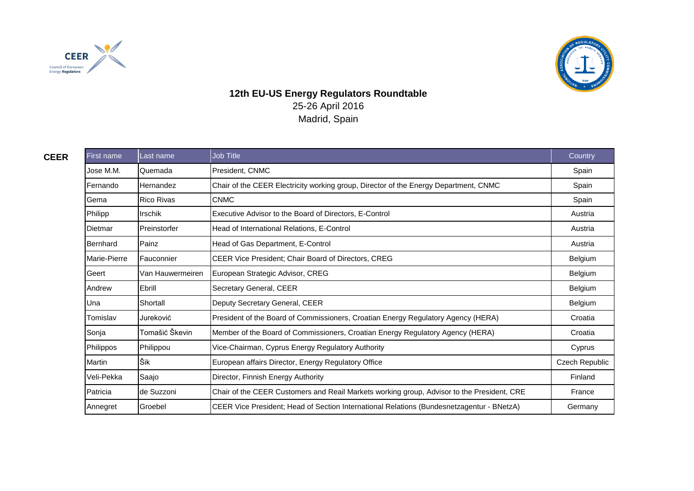



## **12th EU-US Energy Regulators Roundtable** 25-26 April 2016 Madrid, Spain

| <b>CEER</b> | First name    | Last name         | Job Title                                                                                  | Country               |
|-------------|---------------|-------------------|--------------------------------------------------------------------------------------------|-----------------------|
|             | Jose M.M.     | Quemada           | President, CNMC                                                                            | Spain                 |
|             | Fernando      | Hernandez         | Chair of the CEER Electricity working group, Director of the Energy Department, CNMC       | Spain                 |
|             | Gema          | <b>Rico Rivas</b> | <b>CNMC</b>                                                                                | Spain                 |
|             | Philipp       | <b>Irschik</b>    | Executive Advisor to the Board of Directors, E-Control                                     | Austria               |
|             | Dietmar       | Preinstorfer      | Head of International Relations, E-Control                                                 | Austria               |
|             | Bernhard      | Painz             | Head of Gas Department, E-Control                                                          | Austria               |
|             | Marie-Pierre  | Fauconnier        | CEER Vice President; Chair Board of Directors, CREG                                        | Belgium               |
|             | Geert         | Van Hauwermeiren  | European Strategic Advisor, CREG                                                           | Belgium               |
|             | Andrew        | Ebrill            | Secretary General, CEER                                                                    | Belgium               |
|             | Una           | Shortall          | Deputy Secretary General, CEER                                                             | Belgium               |
|             | Tomislav      | Jureković         | President of the Board of Commissioners, Croatian Energy Regulatory Agency (HERA)          | Croatia               |
|             | Sonja         | Tomašić Škevin    | Member of the Board of Commissioners, Croatian Energy Regulatory Agency (HERA)             | Croatia               |
|             | Philippos     | Philippou         | Vice-Chairman, Cyprus Energy Regulatory Authority                                          | Cyprus                |
|             | <b>Martin</b> | Šik               | European affairs Director, Energy Regulatory Office                                        | <b>Czech Republic</b> |
|             | Veli-Pekka    | Saajo             | Director, Finnish Energy Authority                                                         | Finland               |
|             | Patricia      | de Suzzoni        | Chair of the CEER Customers and Reail Markets working group, Advisor to the President, CRE | France                |
|             | Annegret      | Groebel           | CEER Vice President; Head of Section International Relations (Bundesnetzagentur - BNetzA)  | Germany               |